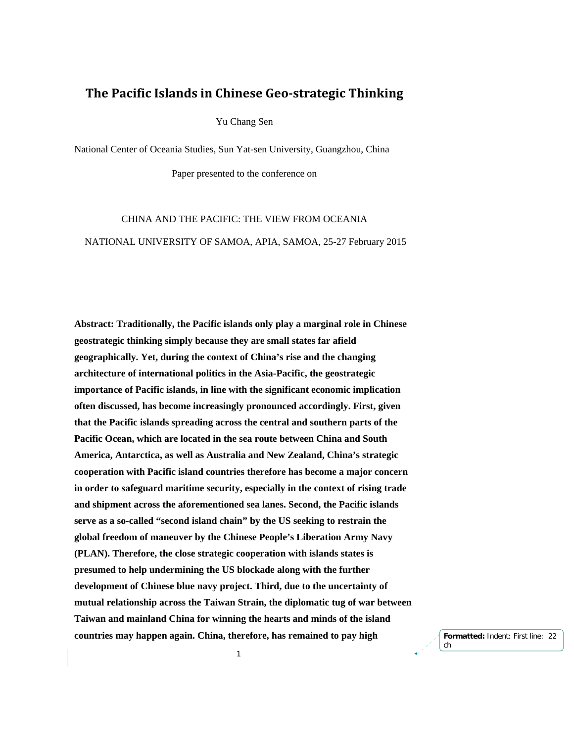# **The Pacific Islands in Chinese Geo‐strategic Thinking**

Yu Chang Sen

National Center of Oceania Studies, Sun Yat-sen University, Guangzhou, China

Paper presented to the conference on

CHINA AND THE PACIFIC: THE VIEW FROM OCEANIA NATIONAL UNIVERSITY OF SAMOA, APIA, SAMOA, 25-27 February 2015

**Abstract: Traditionally, the Pacific islands only play a marginal role in Chinese geostrategic thinking simply because they are small states far afield geographically. Yet, during the context of China's rise and the changing architecture of international politics in the Asia-Pacific, the geostrategic importance of Pacific islands, in line with the significant economic implication often discussed, has become increasingly pronounced accordingly. First, given that the Pacific islands spreading across the central and southern parts of the Pacific Ocean, which are located in the sea route between China and South America, Antarctica, as well as Australia and New Zealand, China's strategic cooperation with Pacific island countries therefore has become a major concern in order to safeguard maritime security, especially in the context of rising trade and shipment across the aforementioned sea lanes. Second, the Pacific islands serve as a so-called "second island chain" by the US seeking to restrain the global freedom of maneuver by the Chinese People's Liberation Army Navy (PLAN). Therefore, the close strategic cooperation with islands states is presumed to help undermining the US blockade along with the further development of Chinese blue navy project. Third, due to the uncertainty of mutual relationship across the Taiwan Strain, the diplomatic tug of war between Taiwan and mainland China for winning the hearts and minds of the island countries may happen again. China, therefore, has remained to pay high** 

1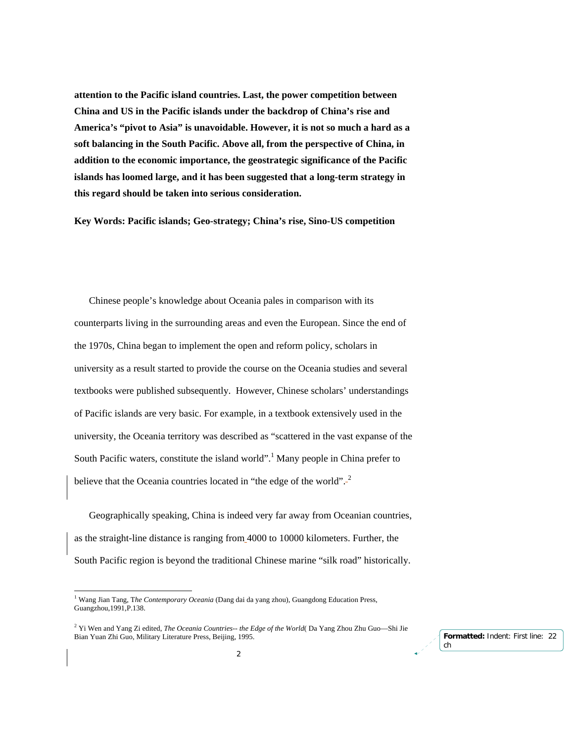**attention to the Pacific island countries. Last, the power competition between China and US in the Pacific islands under the backdrop of China's rise and America's "pivot to Asia" is unavoidable. However, it is not so much a hard as a soft balancing in the South Pacific. Above all, from the perspective of China, in addition to the economic importance, the geostrategic significance of the Pacific islands has loomed large, and it has been suggested that a long-term strategy in this regard should be taken into serious consideration.** 

**Key Words: Pacific islands; Geo-strategy; China's rise, Sino-US competition** 

Chinese people's knowledge about Oceania pales in comparison with its counterparts living in the surrounding areas and even the European. Since the end of the 1970s, China began to implement the open and reform policy, scholars in university as a result started to provide the course on the Oceania studies and several textbooks were published subsequently. However, Chinese scholars' understandings of Pacific islands are very basic. For example, in a textbook extensively used in the university, the Oceania territory was described as "scattered in the vast expanse of the South Pacific waters, constitute the island world".<sup>1</sup> Many people in China prefer to believe that the Oceania countries located in "the edge of the world".<sup>2</sup>

Geographically speaking, China is indeed very far away from Oceanian countries, as the straight-line distance is ranging from 4000 to 10000 kilometers. Further, the South Pacific region is beyond the traditional Chinese marine "silk road" historically.

<sup>1</sup> Wang Jian Tang, T*he Contemporary Oceania* (Dang dai da yang zhou), Guangdong Education Press, Guangzhou,1991,P.138.

<sup>2</sup> Yi Wen and Yang Zi edited, *The Oceania Countries-- the Edge of the World*( Da Yang Zhou Zhu Guo—Shi Jie Bian Yuan Zhi Guo, Military Literature Press, Beijing, 1995.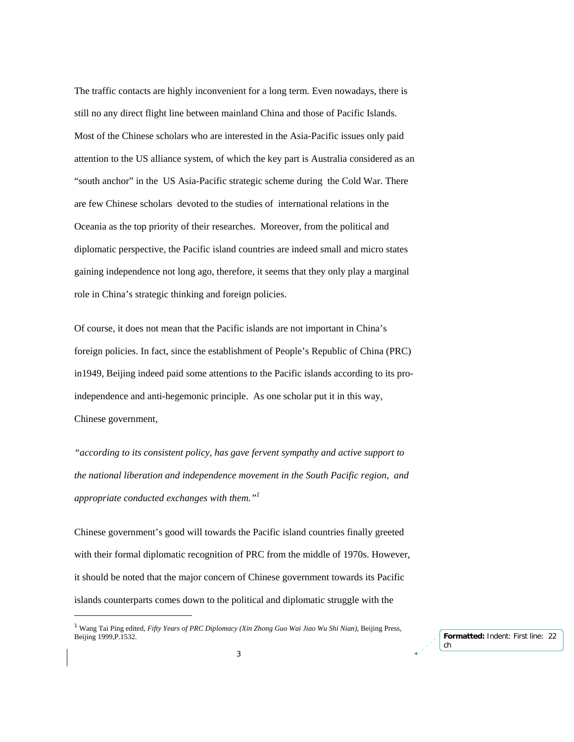The traffic contacts are highly inconvenient for a long term. Even nowadays, there is still no any direct flight line between mainland China and those of Pacific Islands. Most of the Chinese scholars who are interested in the Asia-Pacific issues only paid attention to the US alliance system, of which the key part is Australia considered as an "south anchor" in the US Asia-Pacific strategic scheme during the Cold War. There are few Chinese scholars devoted to the studies of international relations in the Oceania as the top priority of their researches. Moreover, from the political and diplomatic perspective, the Pacific island countries are indeed small and micro states gaining independence not long ago, therefore, it seems that they only play a marginal role in China's strategic thinking and foreign policies.

Of course, it does not mean that the Pacific islands are not important in China's foreign policies. In fact, since the establishment of People's Republic of China (PRC) in1949, Beijing indeed paid some attentions to the Pacific islands according to its proindependence and anti-hegemonic principle. As one scholar put it in this way, Chinese government,

*"according to its consistent policy, has gave fervent sympathy and active support to the national liberation and independence movement in the South Pacific region, and appropriate conducted exchanges with them."1* 

Chinese government's good will towards the Pacific island countries finally greeted with their formal diplomatic recognition of PRC from the middle of 1970s. However, it should be noted that the major concern of Chinese government towards its Pacific islands counterparts comes down to the political and diplomatic struggle with the

<sup>1</sup> Wang Tai Ping edited, *Fifty Years of PRC Diplomacy (Xin Zhong Guo Wai Jiao Wu Shi Nian)*, Beijing Press, Beijing 1999,P.1532.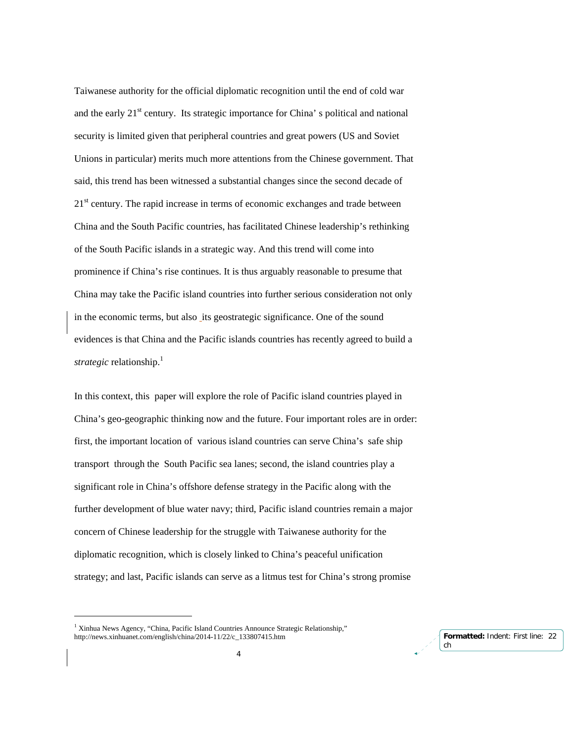Taiwanese authority for the official diplomatic recognition until the end of cold war and the early  $21<sup>st</sup>$  century. Its strategic importance for China' s political and national security is limited given that peripheral countries and great powers (US and Soviet Unions in particular) merits much more attentions from the Chinese government. That said, this trend has been witnessed a substantial changes since the second decade of 21<sup>st</sup> century. The rapid increase in terms of economic exchanges and trade between China and the South Pacific countries, has facilitated Chinese leadership's rethinking of the South Pacific islands in a strategic way. And this trend will come into prominence if China's rise continues. It is thus arguably reasonable to presume that China may take the Pacific island countries into further serious consideration not only in the economic terms, but also its geostrategic significance. One of the sound evidences is that China and the Pacific islands countries has recently agreed to build a *strategic* relationship.<sup>1</sup>

In this context, this paper will explore the role of Pacific island countries played in China's geo-geographic thinking now and the future. Four important roles are in order: first, the important location of various island countries can serve China's safe ship transport through the South Pacific sea lanes; second, the island countries play a significant role in China's offshore defense strategy in the Pacific along with the further development of blue water navy; third, Pacific island countries remain a major concern of Chinese leadership for the struggle with Taiwanese authority for the diplomatic recognition, which is closely linked to China's peaceful unification strategy; and last, Pacific islands can serve as a litmus test for China's strong promise

-

<sup>&</sup>lt;sup>1</sup> Xinhua News Agency, "China, Pacific Island Countries Announce Strategic Relationship," http://news.xinhuanet.com/english/china/2014-11/22/c\_133807415.htm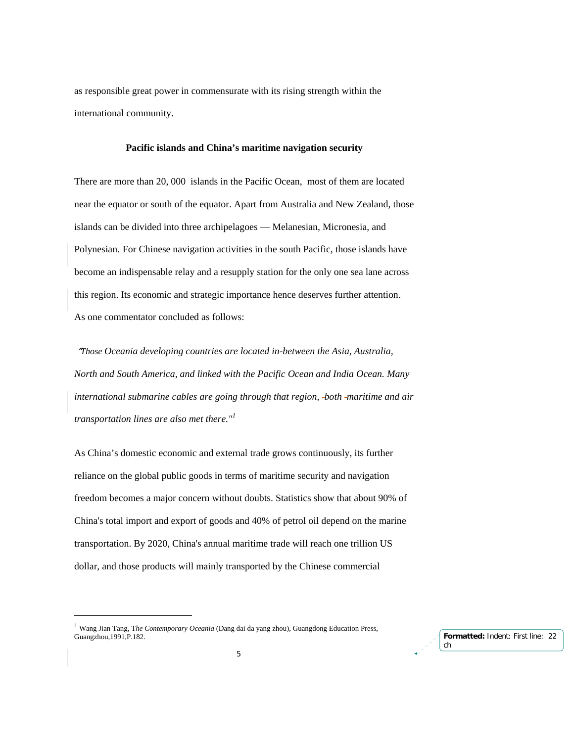as responsible great power in commensurate with its rising strength within the international community.

#### **Pacific islands and China's maritime navigation security**

There are more than 20, 000 islands in the Pacific Ocean, most of them are located near the equator or south of the equator. Apart from Australia and New Zealand, those islands can be divided into three archipelagoes — Melanesian, Micronesia, and Polynesian. For Chinese navigation activities in the south Pacific, those islands have become an indispensable relay and a resupply station for the only one sea lane across this region. Its economic and strategic importance hence deserves further attention. As one commentator concluded as follows:

 "*Those Oceania developing countries are located in-between the Asia, Australia, North and South America, and linked with the Pacific Ocean and India Ocean. Many international submarine cables are going through that region, both maritime and air transportation lines are also met there."<sup>1</sup>*

As China's domestic economic and external trade grows continuously, its further reliance on the global public goods in terms of maritime security and navigation freedom becomes a major concern without doubts. Statistics show that about 90% of China's total import and export of goods and 40% of petrol oil depend on the marine transportation. By 2020, China's annual maritime trade will reach one trillion US dollar, and those products will mainly transported by the Chinese commercial



<sup>1</sup> Wang Jian Tang, T*he Contemporary Oceania* (Dang dai da yang zhou), Guangdong Education Press, Guangzhou,1991,P.182.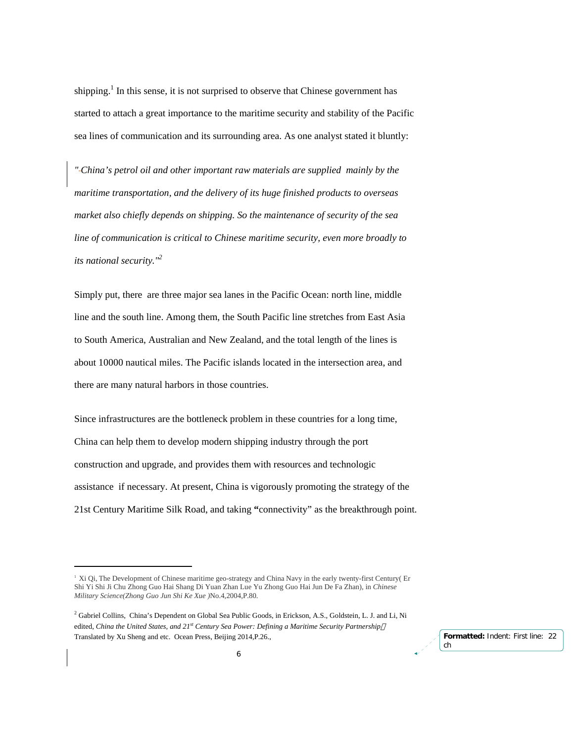shipping.<sup>1</sup> In this sense, it is not surprised to observe that Chinese government has started to attach a great importance to the maritime security and stability of the Pacific sea lines of communication and its surrounding area. As one analyst stated it bluntly:

*" China's petrol oil and other important raw materials are supplied mainly by the maritime transportation, and the delivery of its huge finished products to overseas market also chiefly depends on shipping. So the maintenance of security of the sea line of communication is critical to Chinese maritime security, even more broadly to its national security."2*

Simply put, there are three major sea lanes in the Pacific Ocean: north line, middle line and the south line. Among them, the South Pacific line stretches from East Asia to South America, Australian and New Zealand, and the total length of the lines is about 10000 nautical miles. The Pacific islands located in the intersection area, and there are many natural harbors in those countries.

Since infrastructures are the bottleneck problem in these countries for a long time, China can help them to develop modern shipping industry through the port construction and upgrade, and provides them with resources and technologic assistance if necessary. At present, China is vigorously promoting the strategy of the 21st Century Maritime Silk Road, and taking **"**connectivity" as the breakthrough point.

<sup>1</sup> Xi Qi, The Development of Chinese maritime geo-strategy and China Navy in the early twenty-first Century( Er Shi Yi Shi Ji Chu Zhong Guo Hai Shang Di Yuan Zhan Lue Yu Zhong Guo Hai Jun De Fa Zhan), in *Chinese Military Science(Zhong Guo Jun Shi Ke Xue )*No.4,2004,P.80.

<sup>&</sup>lt;sup>2</sup> Gabriel Collins, China's Dependent on Global Sea Public Goods, in Erickson, A.S., Goldstein, L. J. and Li, Ni edited, *China the United States, and 21st Century Sea Power: Defining a Maritime Security Partnership* Translated by Xu Sheng and etc. Ocean Press, Beijing 2014,P.26.,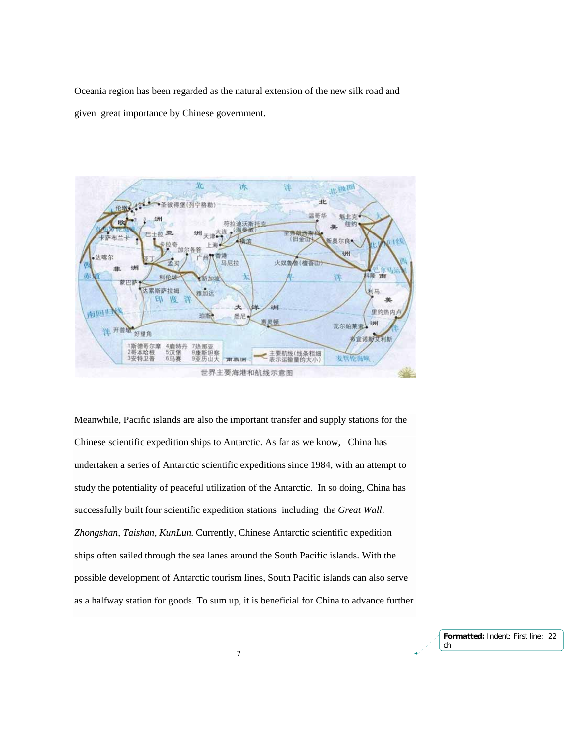Oceania region has been regarded as the natural extension of the new silk road and given great importance by Chinese government.



Meanwhile, Pacific islands are also the important transfer and supply stations for the Chinese scientific expedition ships to Antarctic. As far as we know, China has undertaken a series of Antarctic scientific expeditions since 1984, with an attempt to study the potentiality of peaceful utilization of the Antarctic. In so doing, China has successfully built four scientific expedition stations- including the Great Wall, *Zhongshan, Taishan, KunLun*. Currently, Chinese Antarctic scientific expedition ships often sailed through the sea lanes around the South Pacific islands. With the possible development of Antarctic tourism lines, South Pacific islands can also serve as a halfway station for goods. To sum up, it is beneficial for China to advance further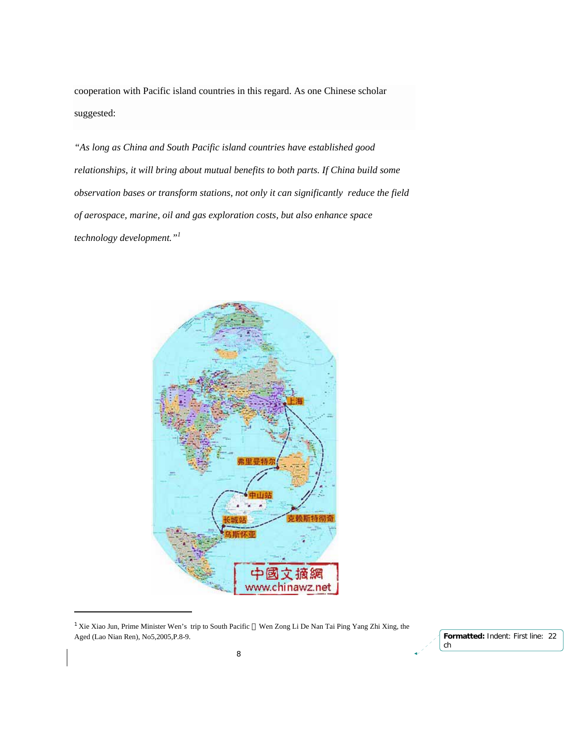cooperation with Pacific island countries in this regard. As one Chinese scholar suggested:

*"As long as China and South Pacific island countries have established good relationships, it will bring about mutual benefits to both parts. If China build some observation bases or transform stations, not only it can significantly reduce the field of aerospace, marine, oil and gas exploration costs, but also enhance space technology development."1*



<sup>1</sup> Xie Xiao Jun, Prime Minister Wen's trip to South Pacific Wen Zong Li De Nan Tai Ping Yang Zhi Xing, the Aged (Lao Nian Ren), No5,2005,P.8-9.

-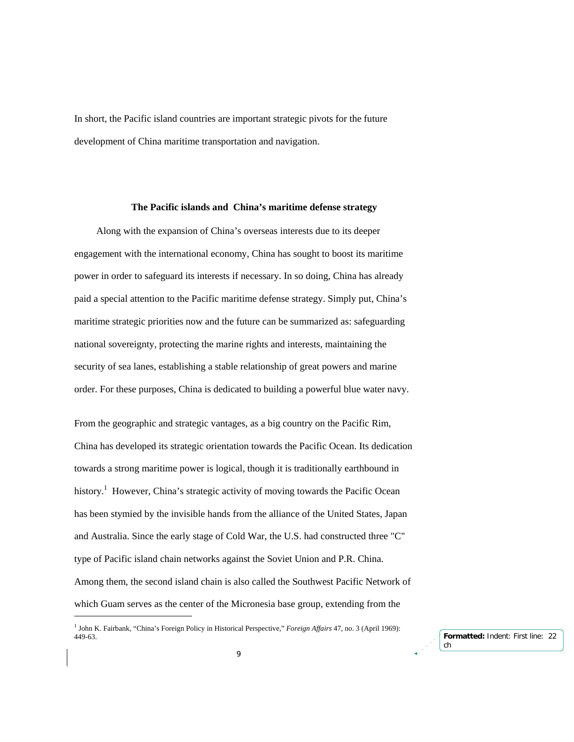In short, the Pacific island countries are important strategic pivots for the future development of China maritime transportation and navigation.

#### **The Pacific islands and China's maritime defense strategy**

 Along with the expansion of China's overseas interests due to its deeper engagement with the international economy, China has sought to boost its maritime power in order to safeguard its interests if necessary. In so doing, China has already paid a special attention to the Pacific maritime defense strategy. Simply put, China's maritime strategic priorities now and the future can be summarized as: safeguarding national sovereignty, protecting the marine rights and interests, maintaining the security of sea lanes, establishing a stable relationship of great powers and marine order. For these purposes, China is dedicated to building a powerful blue water navy.

From the geographic and strategic vantages, as a big country on the Pacific Rim, China has developed its strategic orientation towards the Pacific Ocean. Its dedication towards a strong maritime power is logical, though it is traditionally earthbound in history.<sup>1</sup> However, China's strategic activity of moving towards the Pacific Ocean has been stymied by the invisible hands from the alliance of the United States, Japan and Australia. Since the early stage of Cold War, the U.S. had constructed three "C" type of Pacific island chain networks against the Soviet Union and P.R. China. Among them, the second island chain is also called the Southwest Pacific Network of which Guam serves as the center of the Micronesia base group, extending from the

-

<sup>1</sup> John K. Fairbank, "China's Foreign Policy in Historical Perspective," *Foreign Affairs* 47, no. 3 (April 1969): 449-63.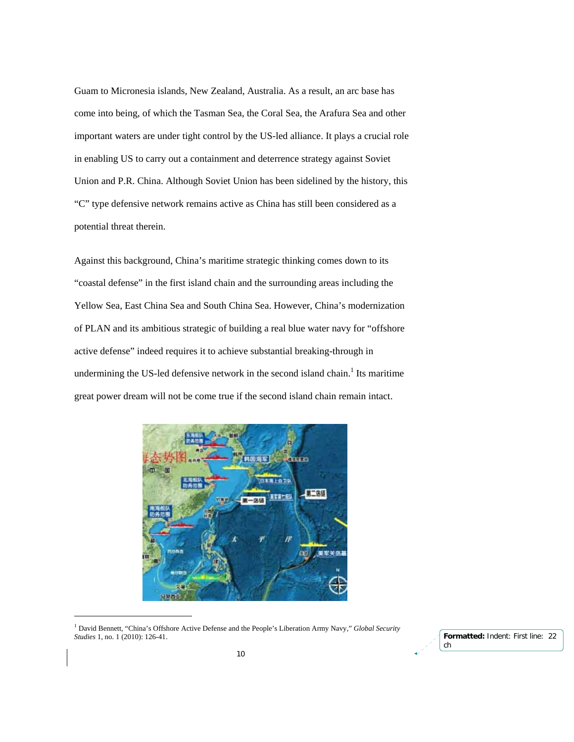Guam to Micronesia islands, New Zealand, Australia. As a result, an arc base has come into being, of which the Tasman Sea, the Coral Sea, the Arafura Sea and other important waters are under tight control by the US-led alliance. It plays a crucial role in enabling US to carry out a containment and deterrence strategy against Soviet Union and P.R. China. Although Soviet Union has been sidelined by the history, this "C" type defensive network remains active as China has still been considered as a potential threat therein.

Against this background, China's maritime strategic thinking comes down to its "coastal defense" in the first island chain and the surrounding areas including the Yellow Sea, East China Sea and South China Sea. However, China's modernization of PLAN and its ambitious strategic of building a real blue water navy for "offshore active defense" indeed requires it to achieve substantial breaking-through in undermining the US-led defensive network in the second island chain.<sup>1</sup> Its maritime great power dream will not be come true if the second island chain remain intact.



<sup>&</sup>lt;sup>1</sup> David Bennett, "China's Offshore Active Defense and the People's Liberation Army Navy," *Global Security Studies* 1, no. 1 (2010): 126-41.

-

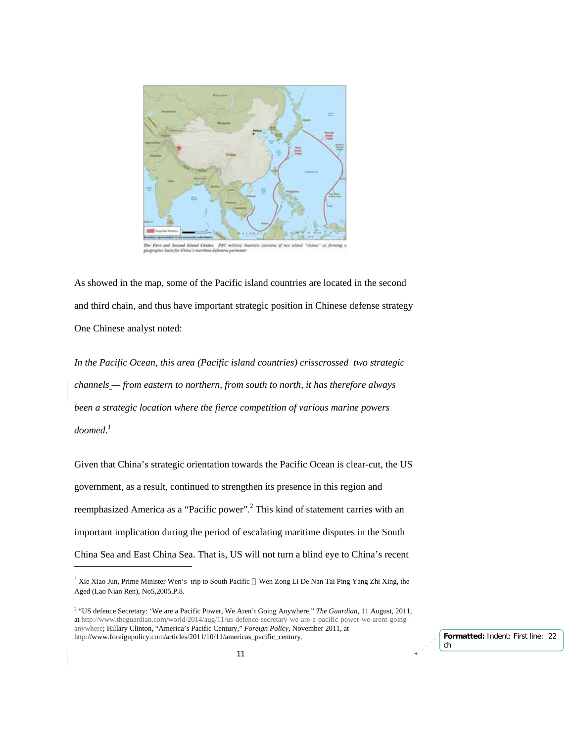

The First and Second Island Chains. PBC m ut af

As showed in the map, some of the Pacific island countries are located in the second and third chain, and thus have important strategic position in Chinese defense strategy One Chinese analyst noted:

*In the Pacific Ocean, this area (Pacific island countries) crisscrossed two strategic channels — from eastern to northern, from south to north, it has therefore always been a strategic location where the fierce competition of various marine powers doomed.1*

Given that China's strategic orientation towards the Pacific Ocean is clear-cut, the US government, as a result, continued to strengthen its presence in this region and reemphasized America as a "Pacific power".<sup>2</sup> This kind of statement carries with an important implication during the period of escalating maritime disputes in the South China Sea and East China Sea. That is, US will not turn a blind eye to China's recent

-

<sup>&</sup>lt;sup>1</sup> Xie Xiao Jun, Prime Minister Wen's trip to South Pacific Wen Zong Li De Nan Tai Ping Yang Zhi Xing, the Aged (Lao Nian Ren), No5,2005,P.8.

<sup>2</sup> "US defence Secretary: 'We are a Pacific Power, We Aren't Going Anywhere," *The Guardian*, 11 August, 2011, at http://www.theguardian.com/world/2014/aug/11/us-defence-secretary-we-are-a-pacific-power-we-arent-goinganywhere; Hillary Clinton, "America's Pacific Century," *Foreign Policy*, November 2011, at http://www.foreignpolicy.com/articles/2011/10/11/americas\_pacific\_century.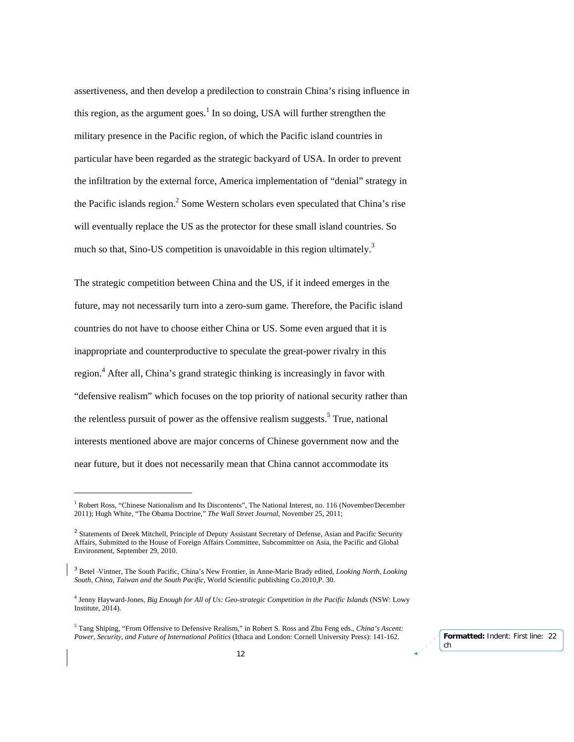assertiveness, and then develop a predilection to constrain China's rising influence in this region, as the argument goes.<sup>1</sup> In so doing, USA will further strengthen the military presence in the Pacific region, of which the Pacific island countries in particular have been regarded as the strategic backyard of USA. In order to prevent the infiltration by the external force, America implementation of "denial" strategy in the Pacific islands region. $<sup>2</sup>$  Some Western scholars even speculated that China's rise</sup> will eventually replace the US as the protector for these small island countries. So much so that, Sino-US competition is unavoidable in this region ultimately.<sup>3</sup>

The strategic competition between China and the US, if it indeed emerges in the future, may not necessarily turn into a zero-sum game. Therefore, the Pacific island countries do not have to choose either China or US. Some even argued that it is inappropriate and counterproductive to speculate the great-power rivalry in this region.<sup>4</sup> After all, China's grand strategic thinking is increasingly in favor with "defensive realism" which focuses on the top priority of national security rather than the relentless pursuit of power as the offensive realism suggests.<sup>5</sup> True, national interests mentioned above are major concerns of Chinese government now and the near future, but it does not necessarily mean that China cannot accommodate its

<sup>&</sup>lt;sup>1</sup> Robert Ross, "Chinese Nationalism and Its Discontents", The National Interest, no. 116 (November/December 2011); Hugh White, "The Obama Doctrine," *The Wall Street Journal*, November 25, 2011;

<sup>&</sup>lt;sup>2</sup> Statements of Derek Mitchell, Principle of Deputy Assistant Secretary of Defense, Asian and Pacific Security Affairs, Submitted to the House of Foreign Affairs Committee, Subcommittee on Asia, the Pacific and Global Environment, September 29, 2010.

<sup>3</sup> Betel Vintner, The South Pacific, China's New Frontier, in Anne-Marie Brady edited, *Looking North, Looking South, China, Taiwan and the South Pacific,* World Scientific publishing Co.2010,P. 30.

<sup>4</sup> Jenny Hayward-Jones, *Big Enough for All of Us: Geo-strategic Competition in the Pacific Islands* (NSW: Lowy Institute, 2014).

<sup>5</sup> Tang Shiping, "From Offensive to Defensive Realism," in Robert S. Ross and Zhu Feng eds., *China's Ascent: Power, Security, and Future of International Politics* (Ithaca and London: Cornell University Press): 141-162.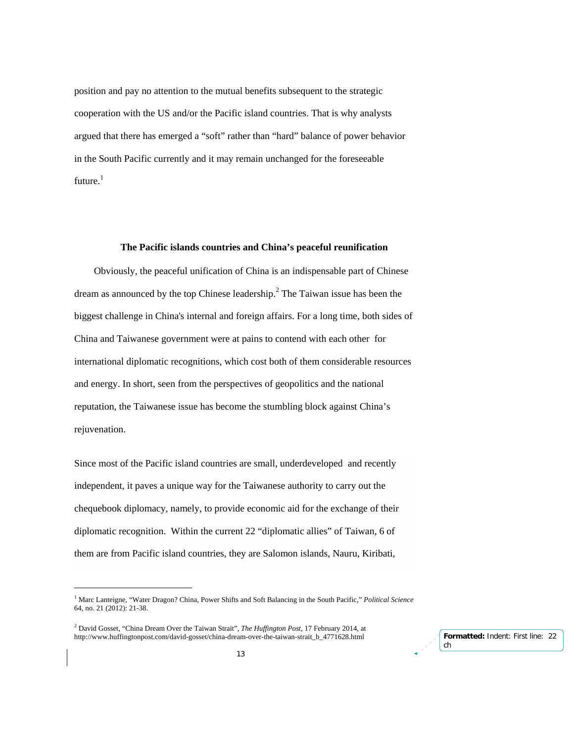position and pay no attention to the mutual benefits subsequent to the strategic cooperation with the US and/or the Pacific island countries. That is why analysts argued that there has emerged a "soft" rather than "hard" balance of power behavior in the South Pacific currently and it may remain unchanged for the foreseeable  $f$ uture. $1$ 

## **The Pacific islands countries and China's peaceful reunification**

Obviously, the peaceful unification of China is an indispensable part of Chinese dream as announced by the top Chinese leadership.<sup>2</sup> The Taiwan issue has been the biggest challenge in China's internal and foreign affairs. For a long time, both sides of China and Taiwanese government were at pains to contend with each other for international diplomatic recognitions, which cost both of them considerable resources and energy. In short, seen from the perspectives of geopolitics and the national reputation, the Taiwanese issue has become the stumbling block against China's rejuvenation.

Since most of the Pacific island countries are small, underdeveloped and recently independent, it paves a unique way for the Taiwanese authority to carry out the chequebook diplomacy, namely, to provide economic aid for the exchange of their diplomatic recognition. Within the current 22 "diplomatic allies" of Taiwan, 6 of them are from Pacific island countries, they are Salomon islands, Nauru, Kiribati,

<sup>1</sup> Marc Lanteigne, "Water Dragon? China, Power Shifts and Soft Balancing in the South Pacific," *Political Science*  64, no. 21 (2012): 21-38.

<sup>2</sup> David Gosset, "China Dream Over the Taiwan Strait", *The Huffington Post*, 17 February 2014, at http://www.huffingtonpost.com/david-gosset/china-dream-over-the-taiwan-strait\_b\_4771628.html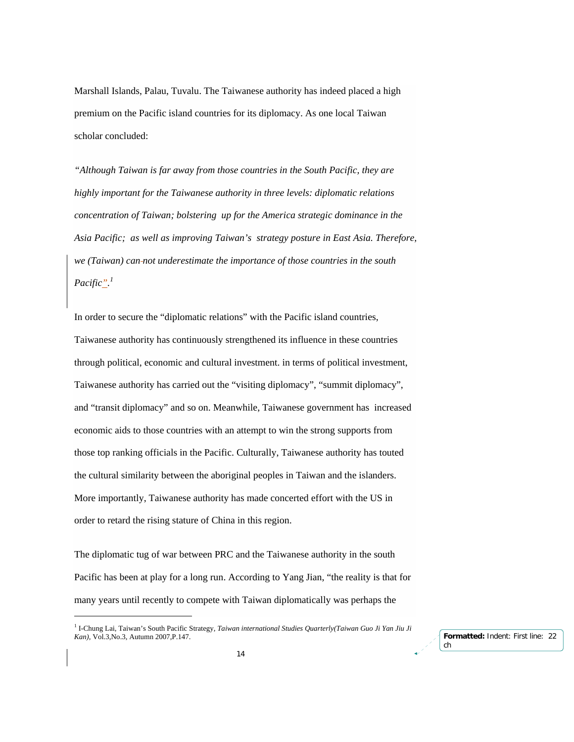Marshall Islands, Palau, Tuvalu. The Taiwanese authority has indeed placed a high premium on the Pacific island countries for its diplomacy. As one local Taiwan scholar concluded:

*"Although Taiwan is far away from those countries in the South Pacific, they are highly important for the Taiwanese authority in three levels: diplomatic relations concentration of Taiwan; bolstering up for the America strategic dominance in the Asia Pacific; as well as improving Taiwan's strategy posture in East Asia. Therefore, we (Taiwan) can not underestimate the importance of those countries in the south Pacific". 1*

In order to secure the "diplomatic relations" with the Pacific island countries, Taiwanese authority has continuously strengthened its influence in these countries through political, economic and cultural investment. in terms of political investment, Taiwanese authority has carried out the "visiting diplomacy", "summit diplomacy", and "transit diplomacy" and so on. Meanwhile, Taiwanese government has increased economic aids to those countries with an attempt to win the strong supports from those top ranking officials in the Pacific. Culturally, Taiwanese authority has touted the cultural similarity between the aboriginal peoples in Taiwan and the islanders. More importantly, Taiwanese authority has made concerted effort with the US in order to retard the rising stature of China in this region.

The diplomatic tug of war between PRC and the Taiwanese authority in the south Pacific has been at play for a long run. According to Yang Jian, "the reality is that for many years until recently to compete with Taiwan diplomatically was perhaps the

-

<sup>&</sup>lt;sup>1</sup> I-Chung Lai, Taiwan's South Pacific Strategy, *Taiwan international Studies Quarterly(Taiwan Guo Ji Yan Jiu Ji Kan),* Vol.3,No.3, Autumn 2007,P.147.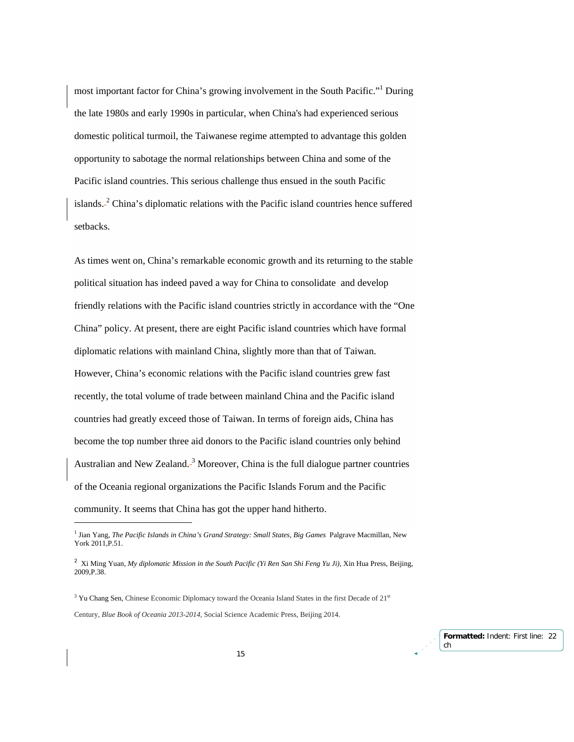most important factor for China's growing involvement in the South Pacific."<sup>1</sup> During the late 1980s and early 1990s in particular, when China's had experienced serious domestic political turmoil, the Taiwanese regime attempted to advantage this golden opportunity to sabotage the normal relationships between China and some of the Pacific island countries. This serious challenge thus ensued in the south Pacific islands.<sup>2</sup> China's diplomatic relations with the Pacific island countries hence suffered setbacks.

As times went on, China's remarkable economic growth and its returning to the stable political situation has indeed paved a way for China to consolidate and develop friendly relations with the Pacific island countries strictly in accordance with the "One China" policy. At present, there are eight Pacific island countries which have formal diplomatic relations with mainland China, slightly more than that of Taiwan. However, China's economic relations with the Pacific island countries grew fast recently, the total volume of trade between mainland China and the Pacific island countries had greatly exceed those of Taiwan. In terms of foreign aids, China has become the top number three aid donors to the Pacific island countries only behind Australian and New Zealand.<sup>3</sup> Moreover, China is the full dialogue partner countries of the Oceania regional organizations the Pacific Islands Forum and the Pacific community. It seems that China has got the upper hand hitherto.

Century, *Blue Book of Oceania 2013-2014,* Social Science Academic Press, Beijing 2014.

-

<sup>&</sup>lt;sup>1</sup> Jian Yang, *The Pacific Islands in China's Grand Strategy: Small States, Big Games Palgrave Macmillan, New* York 2011,P.51.

<sup>&</sup>lt;sup>2</sup> Xi Ming Yuan, *My diplomatic Mission in the South Pacific (Yi Ren San Shi Feng Yu Ji)*, Xin Hua Press, Beijing, 2009,P.38.

 $3$  Yu Chang Sen, Chinese Economic Diplomacy toward the Oceania Island States in the first Decade of  $21<sup>st</sup>$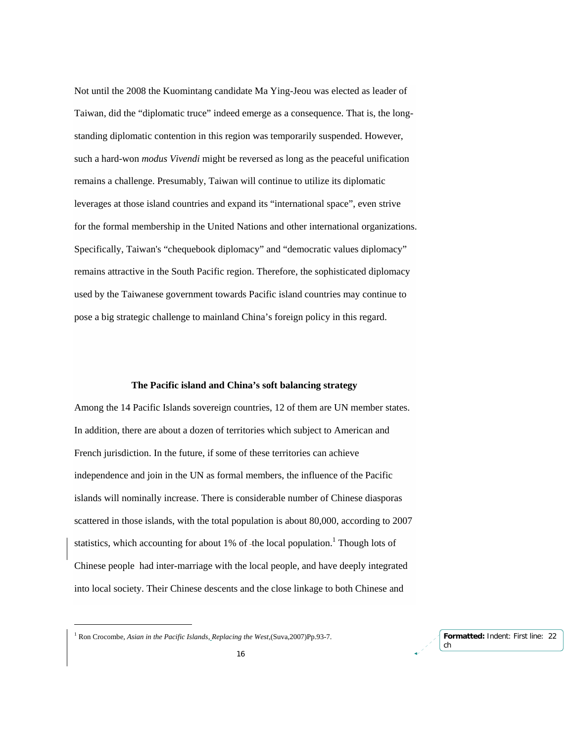Not until the 2008 the Kuomintang candidate Ma Ying-Jeou was elected as leader of Taiwan, did the "diplomatic truce" indeed emerge as a consequence. That is, the longstanding diplomatic contention in this region was temporarily suspended. However, such a hard-won *modus Vivendi* might be reversed as long as the peaceful unification remains a challenge. Presumably, Taiwan will continue to utilize its diplomatic leverages at those island countries and expand its "international space", even strive for the formal membership in the United Nations and other international organizations. Specifically, Taiwan's "chequebook diplomacy" and "democratic values diplomacy" remains attractive in the South Pacific region. Therefore, the sophisticated diplomacy used by the Taiwanese government towards Pacific island countries may continue to pose a big strategic challenge to mainland China's foreign policy in this regard.

### **The Pacific island and China's soft balancing strategy**

Among the 14 Pacific Islands sovereign countries, 12 of them are UN member states. In addition, there are about a dozen of territories which subject to American and French jurisdiction. In the future, if some of these territories can achieve independence and join in the UN as formal members, the influence of the Pacific islands will nominally increase. There is considerable number of Chinese diasporas scattered in those islands, with the total population is about 80,000, according to 2007 statistics, which accounting for about 1% of -the local population.<sup>1</sup> Though lots of Chinese people had inter-marriage with the local people, and have deeply integrated into local society. Their Chinese descents and the close linkage to both Chinese and

-

<sup>1</sup> Ron Crocombe, *Asian in the Pacific Islands, Replacing the West*,(Suva,2007)Pp.93-7.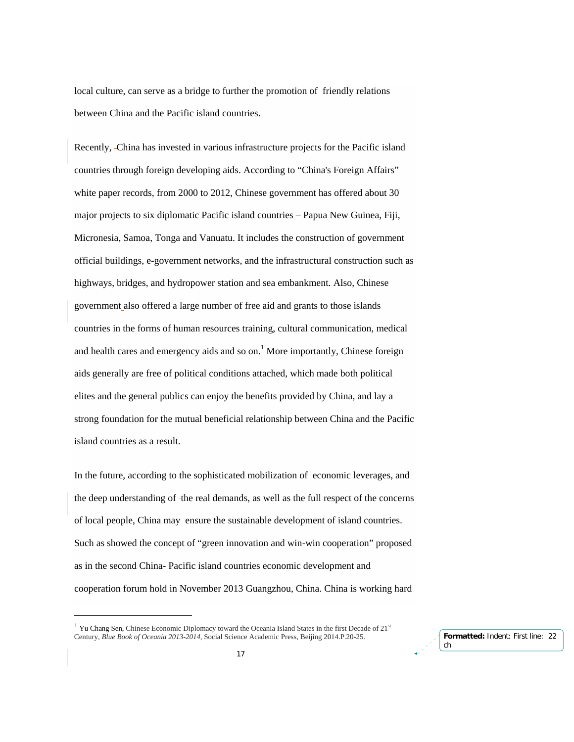local culture, can serve as a bridge to further the promotion of friendly relations between China and the Pacific island countries.

Recently, China has invested in various infrastructure projects for the Pacific island countries through foreign developing aids. According to "China's Foreign Affairs" white paper records, from 2000 to 2012, Chinese government has offered about 30 major projects to six diplomatic Pacific island countries – Papua New Guinea, Fiji, Micronesia, Samoa, Tonga and Vanuatu. It includes the construction of government official buildings, e-government networks, and the infrastructural construction such as highways, bridges, and hydropower station and sea embankment. Also, Chinese government also offered a large number of free aid and grants to those islands countries in the forms of human resources training, cultural communication, medical and health cares and emergency aids and so on.<sup>1</sup> More importantly, Chinese foreign aids generally are free of political conditions attached, which made both political elites and the general publics can enjoy the benefits provided by China, and lay a strong foundation for the mutual beneficial relationship between China and the Pacific island countries as a result.

In the future, according to the sophisticated mobilization of economic leverages, and the deep understanding of the real demands, as well as the full respect of the concerns of local people, China may ensure the sustainable development of island countries. Such as showed the concept of "green innovation and win-win cooperation" proposed as in the second China- Pacific island countries economic development and cooperation forum hold in November 2013 Guangzhou, China. China is working hard

<sup>&</sup>lt;sup>1</sup> Yu Chang Sen, Chinese Economic Diplomacy toward the Oceania Island States in the first Decade of  $21<sup>st</sup>$ Century, *Blue Book of Oceania 2013-2014,* Social Science Academic Press, Beijing 2014.P.20-25.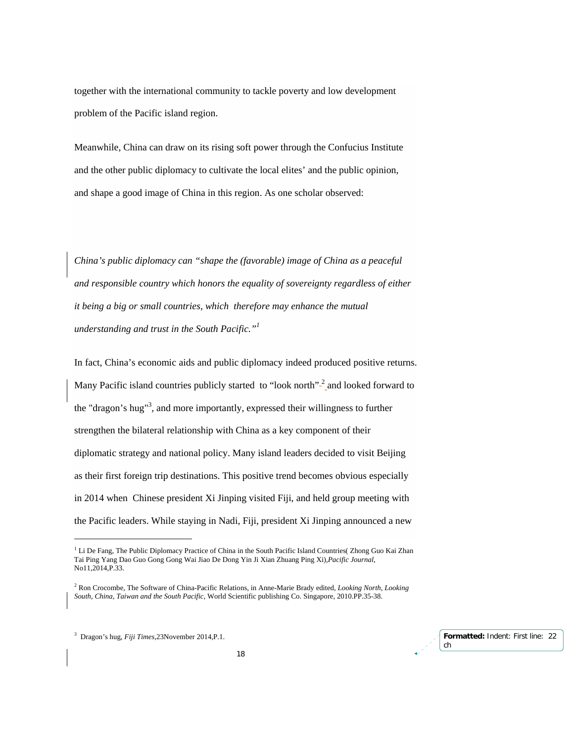together with the international community to tackle poverty and low development problem of the Pacific island region.

Meanwhile, China can draw on its rising soft power through the Confucius Institute and the other public diplomacy to cultivate the local elites' and the public opinion, and shape a good image of China in this region. As one scholar observed:

*China's public diplomacy can "shape the (favorable) image of China as a peaceful and responsible country which honors the equality of sovereignty regardless of either it being a big or small countries, which therefore may enhance the mutual understanding and trust in the South Pacific."1*

In fact, China's economic aids and public diplomacy indeed produced positive returns. Many Pacific island countries publicly started to "look north"<sup>2</sup> and looked forward to the "dragon's hug"<sup>3</sup>, and more importantly, expressed their willingness to further strengthen the bilateral relationship with China as a key component of their diplomatic strategy and national policy. Many island leaders decided to visit Beijing as their first foreign trip destinations. This positive trend becomes obvious especially in 2014 when Chinese president Xi Jinping visited Fiji, and held group meeting with the Pacific leaders. While staying in Nadi, Fiji, president Xi Jinping announced a new

<sup>&</sup>lt;sup>1</sup> Li De Fang, The Public Diplomacy Practice of China in the South Pacific Island Countries( Zhong Guo Kai Zhan Tai Ping Yang Dao Guo Gong Gong Wai Jiao De Dong Yin Ji Xian Zhuang Ping Xi),*Pacific Journal*, No11,2014,P.33.

<sup>2</sup> Ron Crocombe, The Software of China-Pacific Relations, in Anne-Marie Brady edited, *Looking North, Looking South, China, Taiwan and the South Pacific,* World Scientific publishing Co. Singapore, 2010.PP.35-38.

<sup>3</sup> Dragon's hug, *Fiji Times,*23November 2014,P.1.